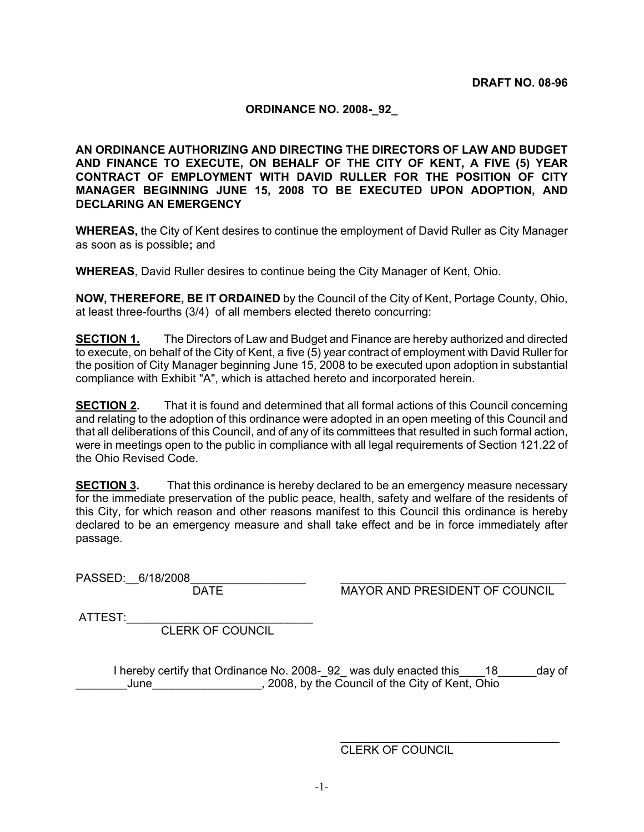#### **ORDINANCE NO. 2008-\_92\_**

**AN ORDINANCE AUTHORIZING AND DIRECTING THE DIRECTORS OF LAW AND BUDGET AND FINANCE TO EXECUTE, ON BEHALF OF THE CITY OF KENT, A FIVE (5) YEAR CONTRACT OF EMPLOYMENT WITH DAVID RULLER FOR THE POSITION OF CITY MANAGER BEGINNING JUNE 15, 2008 TO BE EXECUTED UPON ADOPTION, AND DECLARING AN EMERGENCY** 

**WHEREAS,** the City of Kent desires to continue the employment of David Ruller as City Manager as soon as is possible**;** and

**WHEREAS**, David Ruller desires to continue being the City Manager of Kent, Ohio.

**NOW, THEREFORE, BE IT ORDAINED** by the Council of the City of Kent, Portage County, Ohio, at least three-fourths (3/4) of all members elected thereto concurring:

**SECTION 1.** The Directors of Law and Budget and Finance are hereby authorized and directed to execute, on behalf of the City of Kent, a five (5) year contract of employment with David Ruller for the position of City Manager beginning June 15, 2008 to be executed upon adoption in substantial compliance with Exhibit "A", which is attached hereto and incorporated herein.

**SECTION 2.** That it is found and determined that all formal actions of this Council concerning and relating to the adoption of this ordinance were adopted in an open meeting of this Council and that all deliberations of this Council, and of any of its committees that resulted in such formal action, were in meetings open to the public in compliance with all legal requirements of Section 121.22 of the Ohio Revised Code.

**SECTION 3.** That this ordinance is hereby declared to be an emergency measure necessary for the immediate preservation of the public peace, health, safety and welfare of the residents of this City, for which reason and other reasons manifest to this Council this ordinance is hereby declared to be an emergency measure and shall take effect and be in force immediately after passage.

PASSED:\_\_6/18/2008\_\_\_\_\_\_\_\_\_\_\_\_\_\_\_\_\_\_ \_\_\_\_\_\_\_\_\_\_\_\_\_\_\_\_\_\_\_\_\_\_\_\_\_\_\_\_\_\_\_\_\_\_\_

MAYOR AND PRESIDENT OF COUNCIL

\_\_\_\_\_\_\_\_\_\_\_\_\_\_\_\_\_\_\_\_\_\_\_\_\_\_\_\_\_\_\_\_\_\_

ATTEST:

CLERK OF COUNCIL

I hereby certify that Ordinance No. 2008-\_92\_ was duly enacted this\_\_\_\_18\_\_\_\_\_\_day of \_\_\_\_June\_\_\_\_\_\_\_\_\_\_\_\_\_\_\_\_\_\_\_\_, 2008, by the Council of the City of Kent, Ohio

CLERK OF COUNCIL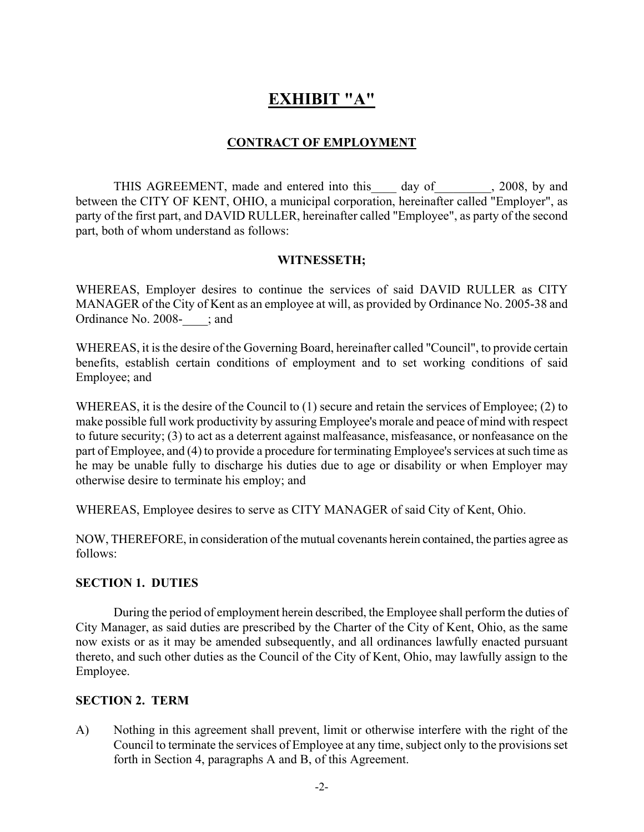# **EXHIBIT "A"**

## **CONTRACT OF EMPLOYMENT**

THIS AGREEMENT, made and entered into this day of 3008, by and between the CITY OF KENT, OHIO, a municipal corporation, hereinafter called "Employer", as party of the first part, and DAVID RULLER, hereinafter called "Employee", as party of the second part, both of whom understand as follows:

#### **WITNESSETH;**

WHEREAS, Employer desires to continue the services of said DAVID RULLER as CITY MANAGER of the City of Kent as an employee at will, as provided by Ordinance No. 2005-38 and Ordinance No. 2008-\_\_\_\_; and

WHEREAS, it is the desire of the Governing Board, hereinafter called "Council", to provide certain benefits, establish certain conditions of employment and to set working conditions of said Employee; and

WHEREAS, it is the desire of the Council to (1) secure and retain the services of Employee; (2) to make possible full work productivity by assuring Employee's morale and peace of mind with respect to future security; (3) to act as a deterrent against malfeasance, misfeasance, or nonfeasance on the part of Employee, and (4) to provide a procedure for terminating Employee's services at such time as he may be unable fully to discharge his duties due to age or disability or when Employer may otherwise desire to terminate his employ; and

WHEREAS, Employee desires to serve as CITY MANAGER of said City of Kent, Ohio.

NOW, THEREFORE, in consideration of the mutual covenants herein contained, the parties agree as follows:

## **SECTION 1. DUTIES**

During the period of employment herein described, the Employee shall perform the duties of City Manager, as said duties are prescribed by the Charter of the City of Kent, Ohio, as the same now exists or as it may be amended subsequently, and all ordinances lawfully enacted pursuant thereto, and such other duties as the Council of the City of Kent, Ohio, may lawfully assign to the Employee.

## **SECTION 2. TERM**

A) Nothing in this agreement shall prevent, limit or otherwise interfere with the right of the Council to terminate the services of Employee at any time, subject only to the provisions set forth in Section 4, paragraphs A and B, of this Agreement.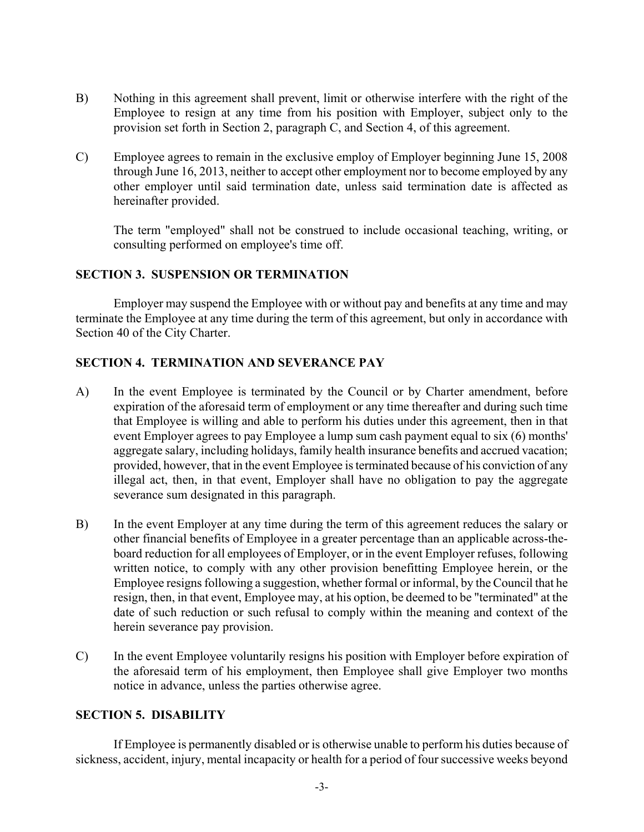- B) Nothing in this agreement shall prevent, limit or otherwise interfere with the right of the Employee to resign at any time from his position with Employer, subject only to the provision set forth in Section 2, paragraph C, and Section 4, of this agreement.
- C) Employee agrees to remain in the exclusive employ of Employer beginning June 15, 2008 through June 16, 2013, neither to accept other employment nor to become employed by any other employer until said termination date, unless said termination date is affected as hereinafter provided.

The term "employed" shall not be construed to include occasional teaching, writing, or consulting performed on employee's time off.

#### **SECTION 3. SUSPENSION OR TERMINATION**

Employer may suspend the Employee with or without pay and benefits at any time and may terminate the Employee at any time during the term of this agreement, but only in accordance with Section 40 of the City Charter.

## **SECTION 4. TERMINATION AND SEVERANCE PAY**

- A) In the event Employee is terminated by the Council or by Charter amendment, before expiration of the aforesaid term of employment or any time thereafter and during such time that Employee is willing and able to perform his duties under this agreement, then in that event Employer agrees to pay Employee a lump sum cash payment equal to six (6) months' aggregate salary, including holidays, family health insurance benefits and accrued vacation; provided, however, that in the event Employee is terminated because of his conviction of any illegal act, then, in that event, Employer shall have no obligation to pay the aggregate severance sum designated in this paragraph.
- B) In the event Employer at any time during the term of this agreement reduces the salary or other financial benefits of Employee in a greater percentage than an applicable across-theboard reduction for all employees of Employer, or in the event Employer refuses, following written notice, to comply with any other provision benefitting Employee herein, or the Employee resigns following a suggestion, whether formal or informal, by the Council that he resign, then, in that event, Employee may, at his option, be deemed to be "terminated" at the date of such reduction or such refusal to comply within the meaning and context of the herein severance pay provision.
- C) In the event Employee voluntarily resigns his position with Employer before expiration of the aforesaid term of his employment, then Employee shall give Employer two months notice in advance, unless the parties otherwise agree.

#### **SECTION 5. DISABILITY**

If Employee is permanently disabled or is otherwise unable to perform his duties because of sickness, accident, injury, mental incapacity or health for a period of four successive weeks beyond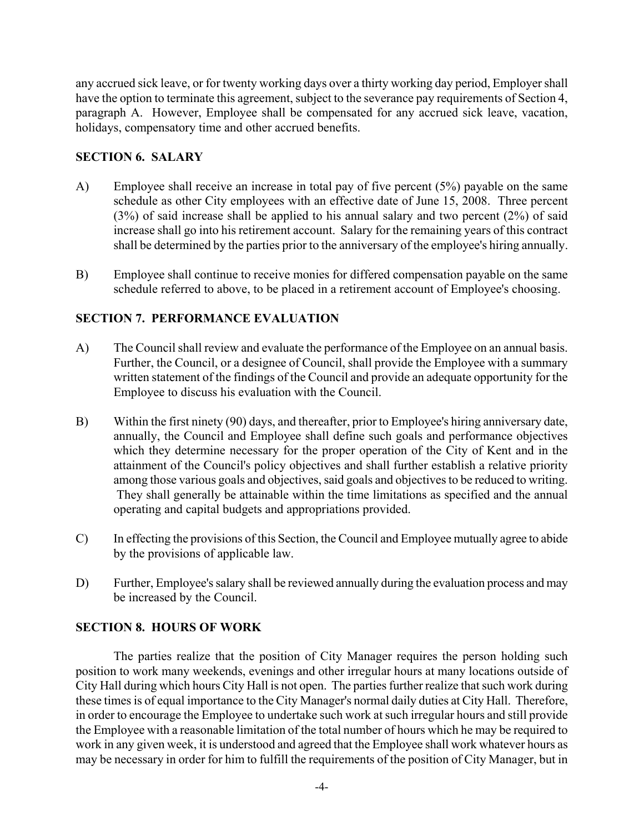any accrued sick leave, or for twenty working days over a thirty working day period, Employer shall have the option to terminate this agreement, subject to the severance pay requirements of Section 4, paragraph A. However, Employee shall be compensated for any accrued sick leave, vacation, holidays, compensatory time and other accrued benefits.

#### **SECTION 6. SALARY**

- A) Employee shall receive an increase in total pay of five percent (5%) payable on the same schedule as other City employees with an effective date of June 15, 2008. Three percent (3%) of said increase shall be applied to his annual salary and two percent (2%) of said increase shall go into his retirement account. Salary for the remaining years of this contract shall be determined by the parties prior to the anniversary of the employee's hiring annually.
- B) Employee shall continue to receive monies for differed compensation payable on the same schedule referred to above, to be placed in a retirement account of Employee's choosing.

## **SECTION 7. PERFORMANCE EVALUATION**

- A) The Council shall review and evaluate the performance of the Employee on an annual basis. Further, the Council, or a designee of Council, shall provide the Employee with a summary written statement of the findings of the Council and provide an adequate opportunity for the Employee to discuss his evaluation with the Council.
- B) Within the first ninety (90) days, and thereafter, prior to Employee's hiring anniversary date, annually, the Council and Employee shall define such goals and performance objectives which they determine necessary for the proper operation of the City of Kent and in the attainment of the Council's policy objectives and shall further establish a relative priority among those various goals and objectives, said goals and objectives to be reduced to writing. They shall generally be attainable within the time limitations as specified and the annual operating and capital budgets and appropriations provided.
- C) In effecting the provisions of this Section, the Council and Employee mutually agree to abide by the provisions of applicable law.
- D) Further, Employee's salary shall be reviewed annually during the evaluation process and may be increased by the Council.

#### **SECTION 8. HOURS OF WORK**

The parties realize that the position of City Manager requires the person holding such position to work many weekends, evenings and other irregular hours at many locations outside of City Hall during which hours City Hall is not open. The parties further realize that such work during these times is of equal importance to the City Manager's normal daily duties at City Hall. Therefore, in order to encourage the Employee to undertake such work at such irregular hours and still provide the Employee with a reasonable limitation of the total number of hours which he may be required to work in any given week, it is understood and agreed that the Employee shall work whatever hours as may be necessary in order for him to fulfill the requirements of the position of City Manager, but in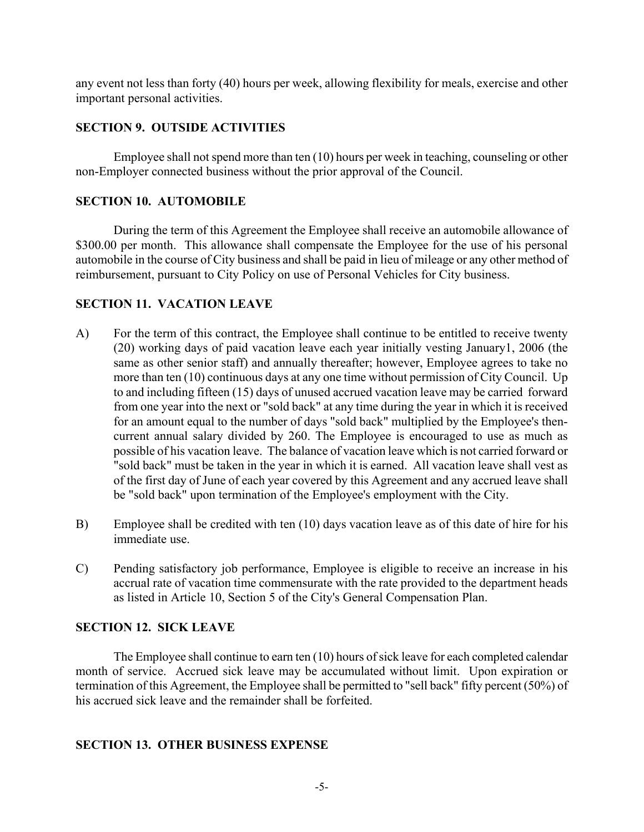any event not less than forty (40) hours per week, allowing flexibility for meals, exercise and other important personal activities.

## **SECTION 9. OUTSIDE ACTIVITIES**

Employee shall not spend more than ten (10) hours per week in teaching, counseling or other non-Employer connected business without the prior approval of the Council.

## **SECTION 10. AUTOMOBILE**

During the term of this Agreement the Employee shall receive an automobile allowance of \$300.00 per month. This allowance shall compensate the Employee for the use of his personal automobile in the course of City business and shall be paid in lieu of mileage or any other method of reimbursement, pursuant to City Policy on use of Personal Vehicles for City business.

## **SECTION 11. VACATION LEAVE**

- A) For the term of this contract, the Employee shall continue to be entitled to receive twenty (20) working days of paid vacation leave each year initially vesting January1, 2006 (the same as other senior staff) and annually thereafter; however, Employee agrees to take no more than ten (10) continuous days at any one time without permission of City Council. Up to and including fifteen (15) days of unused accrued vacation leave may be carried forward from one year into the next or "sold back" at any time during the year in which it is received for an amount equal to the number of days "sold back" multiplied by the Employee's thencurrent annual salary divided by 260. The Employee is encouraged to use as much as possible of his vacation leave. The balance of vacation leave which is not carried forward or "sold back" must be taken in the year in which it is earned. All vacation leave shall vest as of the first day of June of each year covered by this Agreement and any accrued leave shall be "sold back" upon termination of the Employee's employment with the City.
- B) Employee shall be credited with ten (10) days vacation leave as of this date of hire for his immediate use.
- C) Pending satisfactory job performance, Employee is eligible to receive an increase in his accrual rate of vacation time commensurate with the rate provided to the department heads as listed in Article 10, Section 5 of the City's General Compensation Plan.

## **SECTION 12. SICK LEAVE**

The Employee shall continue to earn ten (10) hours of sick leave for each completed calendar month of service. Accrued sick leave may be accumulated without limit. Upon expiration or termination of this Agreement, the Employee shall be permitted to "sell back" fifty percent (50%) of his accrued sick leave and the remainder shall be forfeited.

## **SECTION 13. OTHER BUSINESS EXPENSE**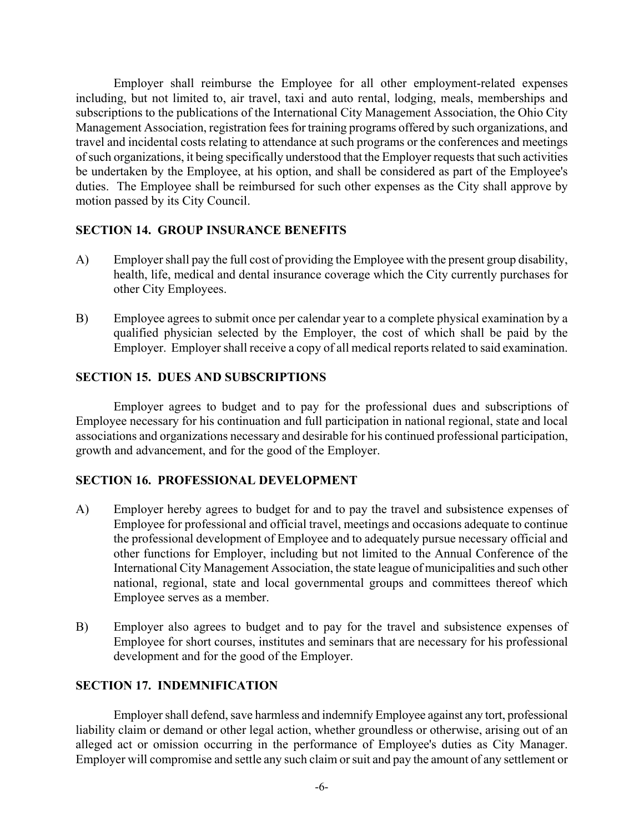Employer shall reimburse the Employee for all other employment-related expenses including, but not limited to, air travel, taxi and auto rental, lodging, meals, memberships and subscriptions to the publications of the International City Management Association, the Ohio City Management Association, registration fees for training programs offered by such organizations, and travel and incidental costs relating to attendance at such programs or the conferences and meetings of such organizations, it being specifically understood that the Employer requests that such activities be undertaken by the Employee, at his option, and shall be considered as part of the Employee's duties. The Employee shall be reimbursed for such other expenses as the City shall approve by motion passed by its City Council.

## **SECTION 14. GROUP INSURANCE BENEFITS**

- A) Employer shall pay the full cost of providing the Employee with the present group disability, health, life, medical and dental insurance coverage which the City currently purchases for other City Employees.
- B) Employee agrees to submit once per calendar year to a complete physical examination by a qualified physician selected by the Employer, the cost of which shall be paid by the Employer. Employer shall receive a copy of all medical reports related to said examination.

## **SECTION 15. DUES AND SUBSCRIPTIONS**

Employer agrees to budget and to pay for the professional dues and subscriptions of Employee necessary for his continuation and full participation in national regional, state and local associations and organizations necessary and desirable for his continued professional participation, growth and advancement, and for the good of the Employer.

## **SECTION 16. PROFESSIONAL DEVELOPMENT**

- A) Employer hereby agrees to budget for and to pay the travel and subsistence expenses of Employee for professional and official travel, meetings and occasions adequate to continue the professional development of Employee and to adequately pursue necessary official and other functions for Employer, including but not limited to the Annual Conference of the International City Management Association, the state league of municipalities and such other national, regional, state and local governmental groups and committees thereof which Employee serves as a member.
- B) Employer also agrees to budget and to pay for the travel and subsistence expenses of Employee for short courses, institutes and seminars that are necessary for his professional development and for the good of the Employer.

## **SECTION 17. INDEMNIFICATION**

Employer shall defend, save harmless and indemnify Employee against any tort, professional liability claim or demand or other legal action, whether groundless or otherwise, arising out of an alleged act or omission occurring in the performance of Employee's duties as City Manager. Employer will compromise and settle any such claim or suit and pay the amount of any settlement or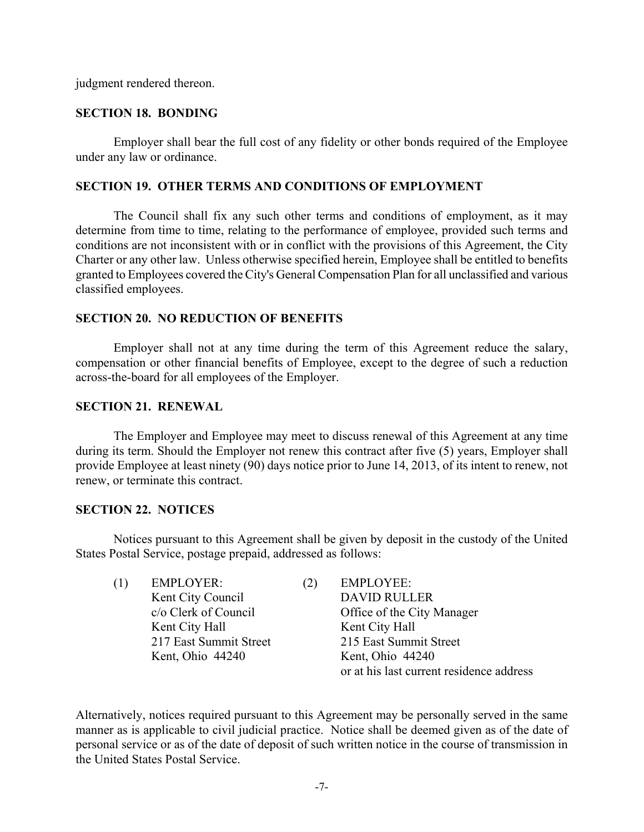judgment rendered thereon.

#### **SECTION 18. BONDING**

Employer shall bear the full cost of any fidelity or other bonds required of the Employee under any law or ordinance.

#### **SECTION 19. OTHER TERMS AND CONDITIONS OF EMPLOYMENT**

The Council shall fix any such other terms and conditions of employment, as it may determine from time to time, relating to the performance of employee, provided such terms and conditions are not inconsistent with or in conflict with the provisions of this Agreement, the City Charter or any other law. Unless otherwise specified herein, Employee shall be entitled to benefits granted to Employees covered the City's General Compensation Plan for all unclassified and various classified employees.

#### **SECTION 20. NO REDUCTION OF BENEFITS**

Employer shall not at any time during the term of this Agreement reduce the salary, compensation or other financial benefits of Employee, except to the degree of such a reduction across-the-board for all employees of the Employer.

#### **SECTION 21. RENEWAL**

The Employer and Employee may meet to discuss renewal of this Agreement at any time during its term. Should the Employer not renew this contract after five (5) years, Employer shall provide Employee at least ninety (90) days notice prior to June 14, 2013, of its intent to renew, not renew, or terminate this contract.

#### **SECTION 22. NOTICES**

Notices pursuant to this Agreement shall be given by deposit in the custody of the United States Postal Service, postage prepaid, addressed as follows:

| ( 1 ) | <b>EMPLOYER:</b>       | (2) | <b>EMPLOYEE:</b>                         |
|-------|------------------------|-----|------------------------------------------|
|       | Kent City Council      |     | <b>DAVID RULLER</b>                      |
|       | c/o Clerk of Council   |     | Office of the City Manager               |
|       | Kent City Hall         |     | Kent City Hall                           |
|       | 217 East Summit Street |     | 215 East Summit Street                   |
|       | Kent, Ohio 44240       |     | Kent, Ohio 44240                         |
|       |                        |     | or at his last current residence address |

Alternatively, notices required pursuant to this Agreement may be personally served in the same manner as is applicable to civil judicial practice. Notice shall be deemed given as of the date of personal service or as of the date of deposit of such written notice in the course of transmission in the United States Postal Service.